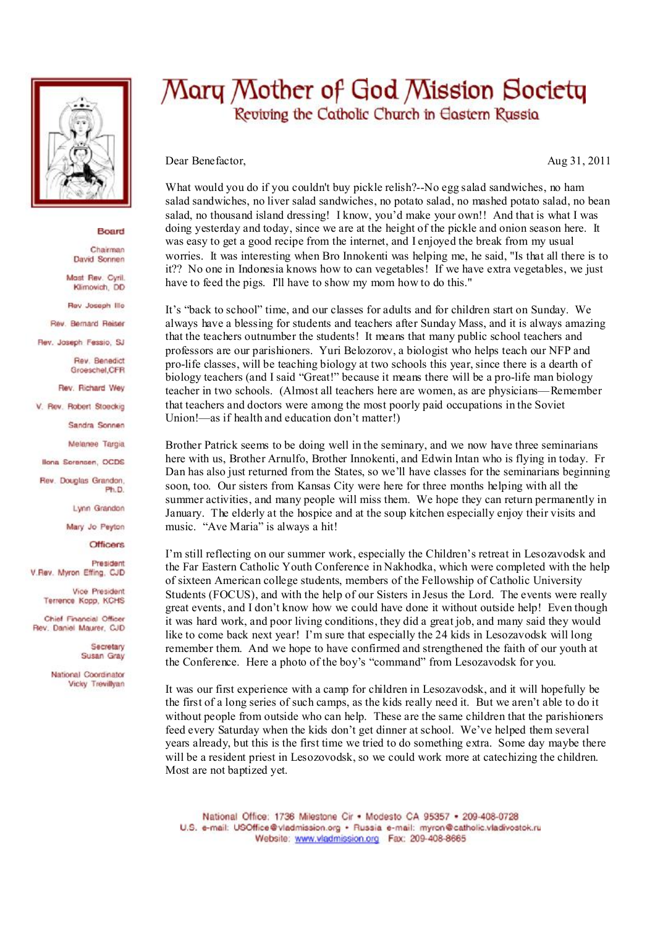

## Board

Chairman David Sonnen

Mast Rev. Cyril. Klimovich, DD

Rev Joseph Illo

Rev. Bernard Reiser

Rev. Joseph Fessio, SJ

Rev. Benedict Groeschel, CFR

Rev. Richard Wey

V. Rev. Robert Stoeckig

Sandra Sonnen

Melanee Targia

Ilona Sorensen, OCDS

**Rev. Doubles Grandon** Ph.D.

Lynn Grandon

Mary Jo Peyton

**Officers** 

President V.Rev. Myron Effing, CJD

> Vice President Terrence Kopp, KCHS

Chief Financial Officer Rev. Daniel Maurer, CJD

> Secretary Susan Gray

National Coordinator Vicky Trevillyan

## Mary Mother of God Mission Society Reviving the Catholic Church in Eastern Russia

Dear Benefactor,

Aug 31, 2011

What would you do if you couldn't buy pickle relish?--No egg salad sandwiches, no ham salad sandwiches, no liver salad sandwiches, no potato salad, no mashed potato salad, no bean salad, no thousand island dressing! I know, you'd make your own!! And that is what I was doing vesterday and today, since we are at the height of the pickle and onion season here. It was easy to get a good recipe from the internet, and I enjoyed the break from my usual worries. It was interesting when Bro Innokenti was helping me, he said, "Is that all there is to it?? No one in Indonesia knows how to can vegetables! If we have extra vegetables, we just have to feed the pigs. I'll have to show my mom how to do this."

It's "back to school" time, and our classes for adults and for children start on Sunday. We always have a blessing for students and teachers after Sunday Mass, and it is always amazing that the teachers outnumber the students! It means that many public school teachers and professors are our parishioners. Yuri Belozorov, a biologist who helps teach our NFP and pro-life classes, will be teaching biology at two schools this year, since there is a dearth of biology teachers (and I said "Great!" because it means there will be a pro-life man biology teacher in two schools. (Almost all teachers here are women, as are physicians—Remember that teachers and doctors were among the most poorly paid occupations in the Soviet Union!—as if health and education don't matter!)

Brother Patrick seems to be doing well in the seminary, and we now have three seminarians here with us, Brother Arnulfo, Brother Innokenti, and Edwin Intan who is flying in today. Fr Dan has also just returned from the States, so we'll have classes for the seminarians beginning soon, too. Our sisters from Kansas City were here for three months helping with all the summer activities, and many people will miss them. We hope they can return permanently in January. The elderly at the hospice and at the soup kitchen especially enjoy their visits and music. "Ave Maria" is always a hit!

I'm still reflecting on our summer work, especially the Children's retreat in Lesozavodsk and the Far Eastern Catholic Youth Conference in Nakhodka, which were completed with the help of sixteen American college students, members of the Fellowship of Catholic University Students (FOCUS), and with the help of our Sisters in Jesus the Lord. The events were really great events, and I don't know how we could have done it without outside help! Even though it was hard work, and poor living conditions, they did a great job, and many said they would like to come back next year! I'm sure that especially the 24 kids in Lesozavodsk will long remember them. And we hope to have confirmed and strengthened the faith of our youth at the Conference. Here a photo of the boy's "command" from Lesozavodsk for you.

It was our first experience with a camp for children in Lesozavodsk, and it will hopefully be the first of a long series of such camps, as the kids really need it. But we aren't able to do it without people from outside who can help. These are the same children that the parishioners feed every Saturday when the kids don't get dinner at school. We've helped them several years already, but this is the first time we tried to do something extra. Some day maybe there will be a resident priest in Lesozovodsk, so we could work more at cate chizing the children. Most are not baptized yet.

National Office: 1736 Milestone Cir . Modesto CA 95357 . 209-408-0728 U.S. e-mail: USOffice@vladmission.org · Russia e-mail: myron@catholic.vladivostok.ru Website: www.vladmission.org Fax: 209-408-8665